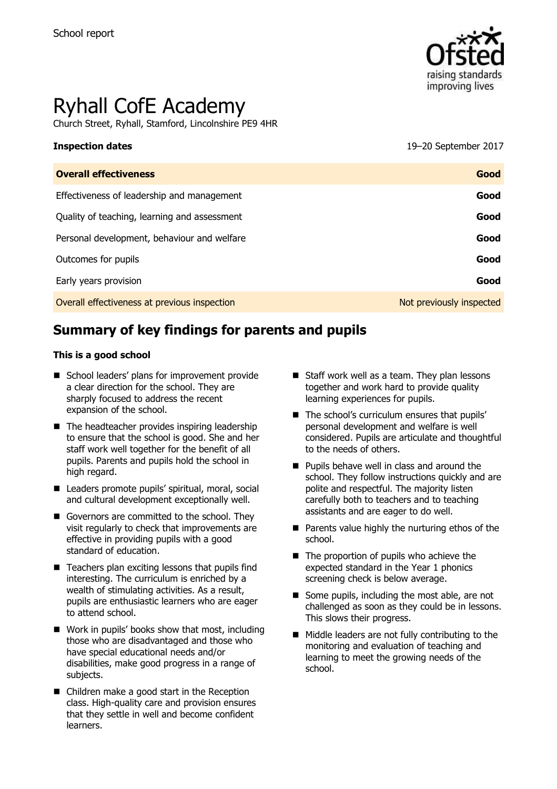

# Ryhall CofE Academy

Church Street, Ryhall, Stamford, Lincolnshire PE9 4HR

**Inspection dates** 19–20 September 2017

| <b>Overall effectiveness</b>                 | Good                     |
|----------------------------------------------|--------------------------|
| Effectiveness of leadership and management   | Good                     |
| Quality of teaching, learning and assessment | Good                     |
| Personal development, behaviour and welfare  | Good                     |
| Outcomes for pupils                          | Good                     |
| Early years provision                        | Good                     |
| Overall effectiveness at previous inspection | Not previously inspected |

# **Summary of key findings for parents and pupils**

#### **This is a good school**

- School leaders' plans for improvement provide a clear direction for the school. They are sharply focused to address the recent expansion of the school.
- The headteacher provides inspiring leadership to ensure that the school is good. She and her staff work well together for the benefit of all pupils. Parents and pupils hold the school in high regard.
- Leaders promote pupils' spiritual, moral, social and cultural development exceptionally well.
- Governors are committed to the school. They visit regularly to check that improvements are effective in providing pupils with a good standard of education.
- $\blacksquare$  Teachers plan exciting lessons that pupils find interesting. The curriculum is enriched by a wealth of stimulating activities. As a result, pupils are enthusiastic learners who are eager to attend school.
- Work in pupils' books show that most, including those who are disadvantaged and those who have special educational needs and/or disabilities, make good progress in a range of subjects.
- Children make a good start in the Reception class. High-quality care and provision ensures that they settle in well and become confident learners.
- $\blacksquare$  Staff work well as a team. They plan lessons together and work hard to provide quality learning experiences for pupils.
- The school's curriculum ensures that pupils' personal development and welfare is well considered. Pupils are articulate and thoughtful to the needs of others.
- **Pupils behave well in class and around the** school. They follow instructions quickly and are polite and respectful. The majority listen carefully both to teachers and to teaching assistants and are eager to do well.
- $\blacksquare$  Parents value highly the nurturing ethos of the school.
- $\blacksquare$  The proportion of pupils who achieve the expected standard in the Year 1 phonics screening check is below average.
- Some pupils, including the most able, are not challenged as soon as they could be in lessons. This slows their progress.
- Middle leaders are not fully contributing to the monitoring and evaluation of teaching and learning to meet the growing needs of the school.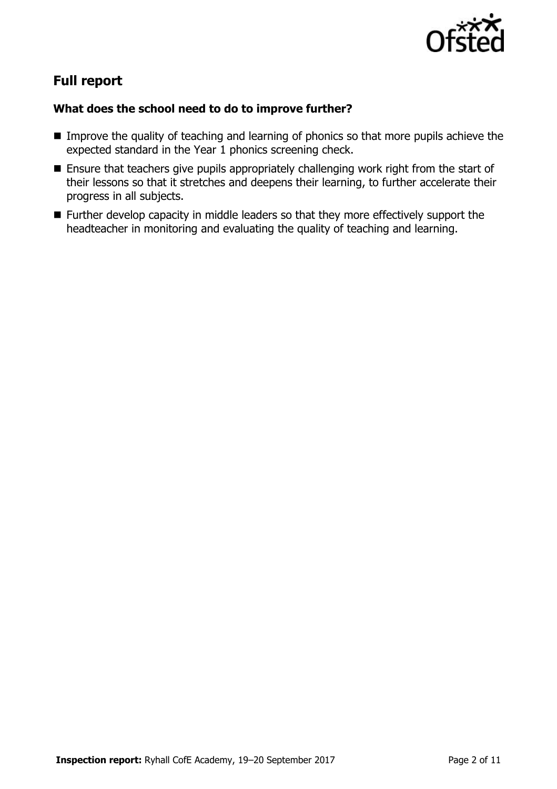

# **Full report**

### **What does the school need to do to improve further?**

- Improve the quality of teaching and learning of phonics so that more pupils achieve the expected standard in the Year 1 phonics screening check.
- **Ensure that teachers give pupils appropriately challenging work right from the start of** their lessons so that it stretches and deepens their learning, to further accelerate their progress in all subjects.
- **Further develop capacity in middle leaders so that they more effectively support the** headteacher in monitoring and evaluating the quality of teaching and learning.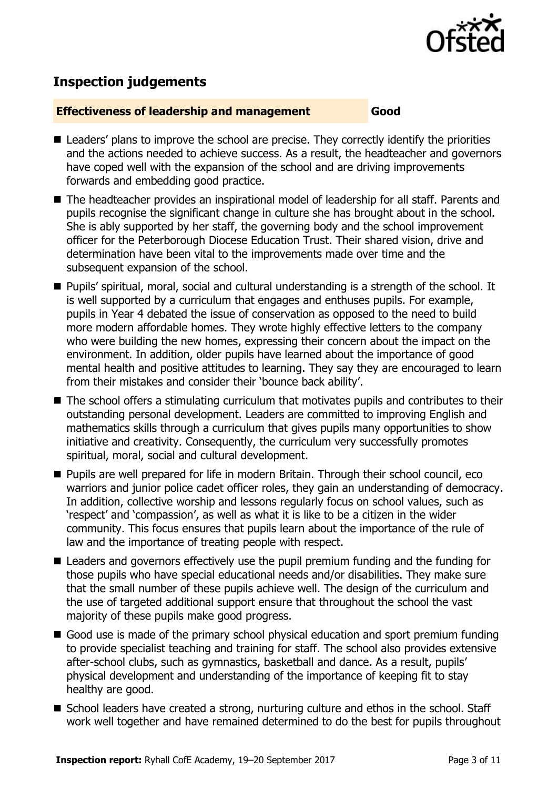

# **Inspection judgements**

#### **Effectiveness of leadership and management Good**

- Leaders' plans to improve the school are precise. They correctly identify the priorities and the actions needed to achieve success. As a result, the headteacher and governors have coped well with the expansion of the school and are driving improvements forwards and embedding good practice.
- The headteacher provides an inspirational model of leadership for all staff. Parents and pupils recognise the significant change in culture she has brought about in the school. She is ably supported by her staff, the governing body and the school improvement officer for the Peterborough Diocese Education Trust. Their shared vision, drive and determination have been vital to the improvements made over time and the subsequent expansion of the school.
- Pupils' spiritual, moral, social and cultural understanding is a strength of the school. It is well supported by a curriculum that engages and enthuses pupils. For example, pupils in Year 4 debated the issue of conservation as opposed to the need to build more modern affordable homes. They wrote highly effective letters to the company who were building the new homes, expressing their concern about the impact on the environment. In addition, older pupils have learned about the importance of good mental health and positive attitudes to learning. They say they are encouraged to learn from their mistakes and consider their 'bounce back ability'.
- The school offers a stimulating curriculum that motivates pupils and contributes to their outstanding personal development. Leaders are committed to improving English and mathematics skills through a curriculum that gives pupils many opportunities to show initiative and creativity. Consequently, the curriculum very successfully promotes spiritual, moral, social and cultural development.
- Pupils are well prepared for life in modern Britain. Through their school council, eco warriors and junior police cadet officer roles, they gain an understanding of democracy. In addition, collective worship and lessons regularly focus on school values, such as 'respect' and 'compassion', as well as what it is like to be a citizen in the wider community. This focus ensures that pupils learn about the importance of the rule of law and the importance of treating people with respect.
- Leaders and governors effectively use the pupil premium funding and the funding for those pupils who have special educational needs and/or disabilities. They make sure that the small number of these pupils achieve well. The design of the curriculum and the use of targeted additional support ensure that throughout the school the vast majority of these pupils make good progress.
- Good use is made of the primary school physical education and sport premium funding to provide specialist teaching and training for staff. The school also provides extensive after-school clubs, such as gymnastics, basketball and dance. As a result, pupils' physical development and understanding of the importance of keeping fit to stay healthy are good.
- School leaders have created a strong, nurturing culture and ethos in the school. Staff work well together and have remained determined to do the best for pupils throughout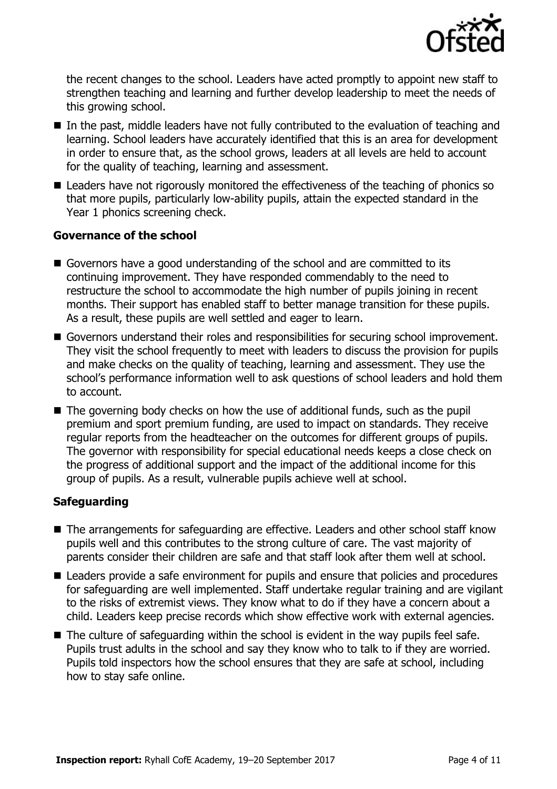

the recent changes to the school. Leaders have acted promptly to appoint new staff to strengthen teaching and learning and further develop leadership to meet the needs of this growing school.

- In the past, middle leaders have not fully contributed to the evaluation of teaching and learning. School leaders have accurately identified that this is an area for development in order to ensure that, as the school grows, leaders at all levels are held to account for the quality of teaching, learning and assessment.
- Leaders have not rigorously monitored the effectiveness of the teaching of phonics so that more pupils, particularly low-ability pupils, attain the expected standard in the Year 1 phonics screening check.

#### **Governance of the school**

- Governors have a good understanding of the school and are committed to its continuing improvement. They have responded commendably to the need to restructure the school to accommodate the high number of pupils joining in recent months. Their support has enabled staff to better manage transition for these pupils. As a result, these pupils are well settled and eager to learn.
- Governors understand their roles and responsibilities for securing school improvement. They visit the school frequently to meet with leaders to discuss the provision for pupils and make checks on the quality of teaching, learning and assessment. They use the school's performance information well to ask questions of school leaders and hold them to account.
- The governing body checks on how the use of additional funds, such as the pupil premium and sport premium funding, are used to impact on standards. They receive regular reports from the headteacher on the outcomes for different groups of pupils. The governor with responsibility for special educational needs keeps a close check on the progress of additional support and the impact of the additional income for this group of pupils. As a result, vulnerable pupils achieve well at school.

### **Safeguarding**

- The arrangements for safeguarding are effective. Leaders and other school staff know pupils well and this contributes to the strong culture of care. The vast majority of parents consider their children are safe and that staff look after them well at school.
- Leaders provide a safe environment for pupils and ensure that policies and procedures for safeguarding are well implemented. Staff undertake regular training and are vigilant to the risks of extremist views. They know what to do if they have a concern about a child. Leaders keep precise records which show effective work with external agencies.
- The culture of safeguarding within the school is evident in the way pupils feel safe. Pupils trust adults in the school and say they know who to talk to if they are worried. Pupils told inspectors how the school ensures that they are safe at school, including how to stay safe online.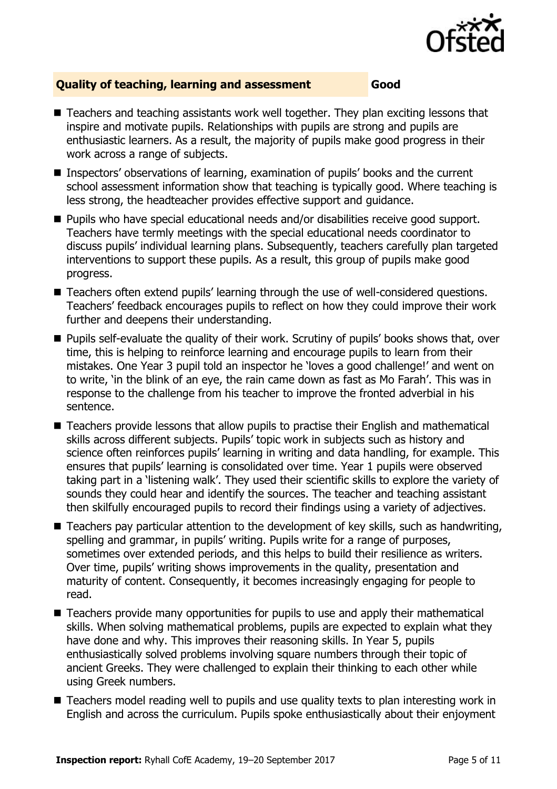

### **Quality of teaching, learning and assessment Good**

- Teachers and teaching assistants work well together. They plan exciting lessons that inspire and motivate pupils. Relationships with pupils are strong and pupils are enthusiastic learners. As a result, the majority of pupils make good progress in their work across a range of subjects.
- Inspectors' observations of learning, examination of pupils' books and the current school assessment information show that teaching is typically good. Where teaching is less strong, the headteacher provides effective support and guidance.
- Pupils who have special educational needs and/or disabilities receive good support. Teachers have termly meetings with the special educational needs coordinator to discuss pupils' individual learning plans. Subsequently, teachers carefully plan targeted interventions to support these pupils. As a result, this group of pupils make good progress.
- Teachers often extend pupils' learning through the use of well-considered questions. Teachers' feedback encourages pupils to reflect on how they could improve their work further and deepens their understanding.
- Pupils self-evaluate the quality of their work. Scrutiny of pupils' books shows that, over time, this is helping to reinforce learning and encourage pupils to learn from their mistakes. One Year 3 pupil told an inspector he 'loves a good challenge!' and went on to write, 'in the blink of an eye, the rain came down as fast as Mo Farah'. This was in response to the challenge from his teacher to improve the fronted adverbial in his sentence.
- Teachers provide lessons that allow pupils to practise their English and mathematical skills across different subjects. Pupils' topic work in subjects such as history and science often reinforces pupils' learning in writing and data handling, for example. This ensures that pupils' learning is consolidated over time. Year 1 pupils were observed taking part in a 'listening walk'. They used their scientific skills to explore the variety of sounds they could hear and identify the sources. The teacher and teaching assistant then skilfully encouraged pupils to record their findings using a variety of adjectives.
- Teachers pay particular attention to the development of key skills, such as handwriting, spelling and grammar, in pupils' writing. Pupils write for a range of purposes, sometimes over extended periods, and this helps to build their resilience as writers. Over time, pupils' writing shows improvements in the quality, presentation and maturity of content. Consequently, it becomes increasingly engaging for people to read.
- Teachers provide many opportunities for pupils to use and apply their mathematical skills. When solving mathematical problems, pupils are expected to explain what they have done and why. This improves their reasoning skills. In Year 5, pupils enthusiastically solved problems involving square numbers through their topic of ancient Greeks. They were challenged to explain their thinking to each other while using Greek numbers.
- Teachers model reading well to pupils and use quality texts to plan interesting work in English and across the curriculum. Pupils spoke enthusiastically about their enjoyment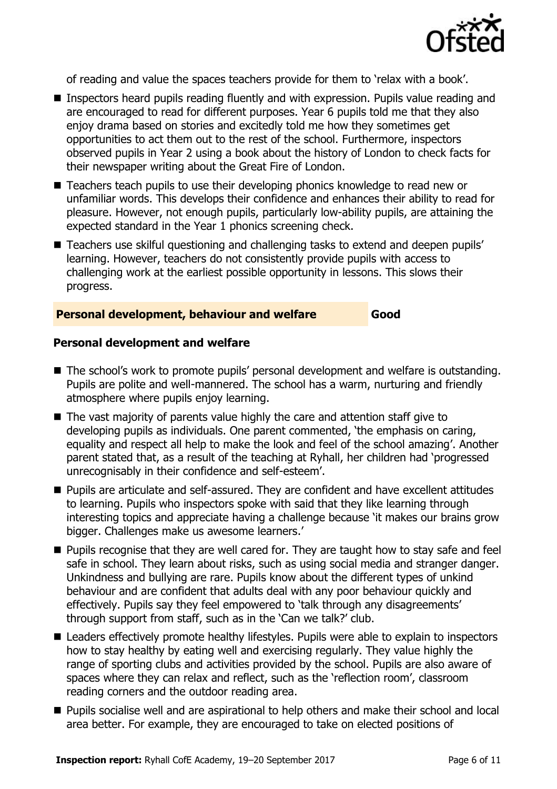

of reading and value the spaces teachers provide for them to 'relax with a book'.

- Inspectors heard pupils reading fluently and with expression. Pupils value reading and are encouraged to read for different purposes. Year 6 pupils told me that they also enjoy drama based on stories and excitedly told me how they sometimes get opportunities to act them out to the rest of the school. Furthermore, inspectors observed pupils in Year 2 using a book about the history of London to check facts for their newspaper writing about the Great Fire of London.
- Teachers teach pupils to use their developing phonics knowledge to read new or unfamiliar words. This develops their confidence and enhances their ability to read for pleasure. However, not enough pupils, particularly low-ability pupils, are attaining the expected standard in the Year 1 phonics screening check.
- Teachers use skilful questioning and challenging tasks to extend and deepen pupils' learning. However, teachers do not consistently provide pupils with access to challenging work at the earliest possible opportunity in lessons. This slows their progress.

#### **Personal development, behaviour and welfare Good**

#### **Personal development and welfare**

- The school's work to promote pupils' personal development and welfare is outstanding. Pupils are polite and well-mannered. The school has a warm, nurturing and friendly atmosphere where pupils enjoy learning.
- The vast majority of parents value highly the care and attention staff give to developing pupils as individuals. One parent commented, 'the emphasis on caring, equality and respect all help to make the look and feel of the school amazing'. Another parent stated that, as a result of the teaching at Ryhall, her children had 'progressed unrecognisably in their confidence and self-esteem'.
- **Pupils are articulate and self-assured. They are confident and have excellent attitudes** to learning. Pupils who inspectors spoke with said that they like learning through interesting topics and appreciate having a challenge because 'it makes our brains grow bigger. Challenges make us awesome learners.'
- **Pupils recognise that they are well cared for. They are taught how to stay safe and feel** safe in school. They learn about risks, such as using social media and stranger danger. Unkindness and bullying are rare. Pupils know about the different types of unkind behaviour and are confident that adults deal with any poor behaviour quickly and effectively. Pupils say they feel empowered to 'talk through any disagreements' through support from staff, such as in the 'Can we talk?' club.
- Leaders effectively promote healthy lifestyles. Pupils were able to explain to inspectors how to stay healthy by eating well and exercising regularly. They value highly the range of sporting clubs and activities provided by the school. Pupils are also aware of spaces where they can relax and reflect, such as the 'reflection room', classroom reading corners and the outdoor reading area.
- **Pupils socialise well and are aspirational to help others and make their school and local** area better. For example, they are encouraged to take on elected positions of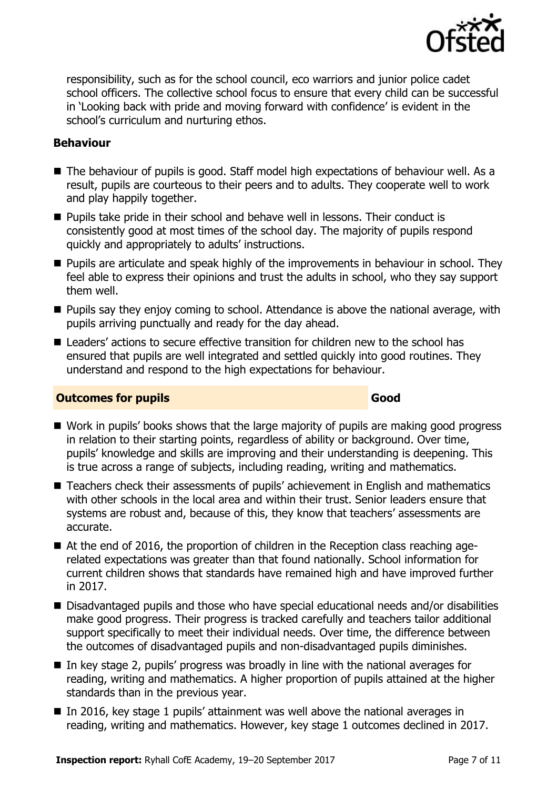

responsibility, such as for the school council, eco warriors and junior police cadet school officers. The collective school focus to ensure that every child can be successful in 'Looking back with pride and moving forward with confidence' is evident in the school's curriculum and nurturing ethos.

### **Behaviour**

- The behaviour of pupils is good. Staff model high expectations of behaviour well. As a result, pupils are courteous to their peers and to adults. They cooperate well to work and play happily together.
- **Pupils take pride in their school and behave well in lessons. Their conduct is** consistently good at most times of the school day. The majority of pupils respond quickly and appropriately to adults' instructions.
- **Pupils are articulate and speak highly of the improvements in behaviour in school. They** feel able to express their opinions and trust the adults in school, who they say support them well.
- **Pupils say they enjoy coming to school. Attendance is above the national average, with** pupils arriving punctually and ready for the day ahead.
- Leaders' actions to secure effective transition for children new to the school has ensured that pupils are well integrated and settled quickly into good routines. They understand and respond to the high expectations for behaviour.

### **Outcomes for pupils Good Good**

- Work in pupils' books shows that the large majority of pupils are making good progress in relation to their starting points, regardless of ability or background. Over time, pupils' knowledge and skills are improving and their understanding is deepening. This is true across a range of subjects, including reading, writing and mathematics.
- Teachers check their assessments of pupils' achievement in English and mathematics with other schools in the local area and within their trust. Senior leaders ensure that systems are robust and, because of this, they know that teachers' assessments are accurate.
- At the end of 2016, the proportion of children in the Reception class reaching agerelated expectations was greater than that found nationally. School information for current children shows that standards have remained high and have improved further in 2017.
- Disadvantaged pupils and those who have special educational needs and/or disabilities make good progress. Their progress is tracked carefully and teachers tailor additional support specifically to meet their individual needs. Over time, the difference between the outcomes of disadvantaged pupils and non-disadvantaged pupils diminishes.
- In key stage 2, pupils' progress was broadly in line with the national averages for reading, writing and mathematics. A higher proportion of pupils attained at the higher standards than in the previous year.
- In 2016, key stage 1 pupils' attainment was well above the national averages in reading, writing and mathematics. However, key stage 1 outcomes declined in 2017.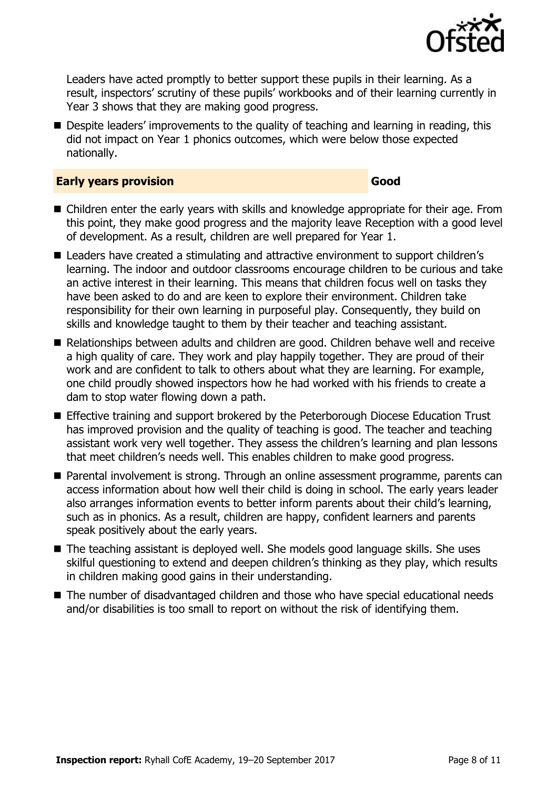

Leaders have acted promptly to better support these pupils in their learning. As a result, inspectors' scrutiny of these pupils' workbooks and of their learning currently in Year 3 shows that they are making good progress.

■ Despite leaders' improvements to the quality of teaching and learning in reading, this did not impact on Year 1 phonics outcomes, which were below those expected nationally.

#### **Early years provision Good**

- Children enter the early years with skills and knowledge appropriate for their age. From this point, they make good progress and the majority leave Reception with a good level of development. As a result, children are well prepared for Year 1.
- Leaders have created a stimulating and attractive environment to support children's learning. The indoor and outdoor classrooms encourage children to be curious and take an active interest in their learning. This means that children focus well on tasks they have been asked to do and are keen to explore their environment. Children take responsibility for their own learning in purposeful play. Consequently, they build on skills and knowledge taught to them by their teacher and teaching assistant.
- Relationships between adults and children are good. Children behave well and receive a high quality of care. They work and play happily together. They are proud of their work and are confident to talk to others about what they are learning. For example, one child proudly showed inspectors how he had worked with his friends to create a dam to stop water flowing down a path.
- Effective training and support brokered by the Peterborough Diocese Education Trust has improved provision and the quality of teaching is good. The teacher and teaching assistant work very well together. They assess the children's learning and plan lessons that meet children's needs well. This enables children to make good progress.
- Parental involvement is strong. Through an online assessment programme, parents can access information about how well their child is doing in school. The early years leader also arranges information events to better inform parents about their child's learning, such as in phonics. As a result, children are happy, confident learners and parents speak positively about the early years.
- The teaching assistant is deployed well. She models good language skills. She uses skilful questioning to extend and deepen children's thinking as they play, which results in children making good gains in their understanding.
- The number of disadvantaged children and those who have special educational needs and/or disabilities is too small to report on without the risk of identifying them.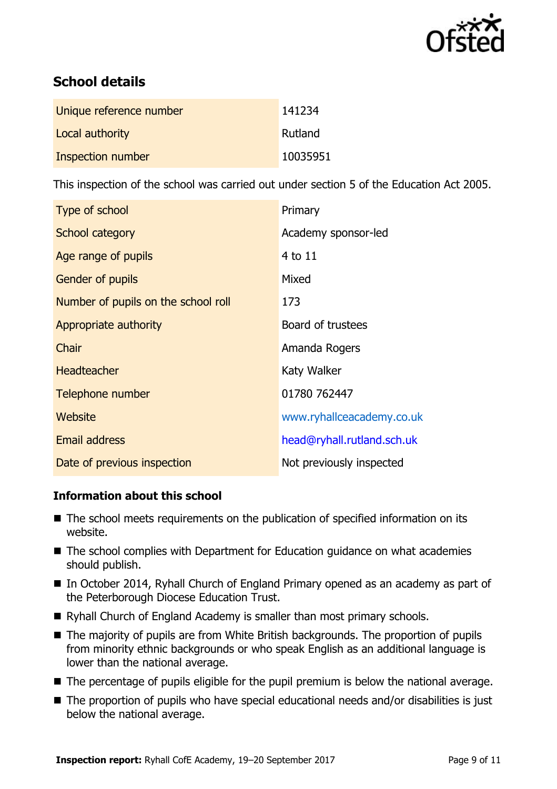

# **School details**

| Unique reference number | 141234   |
|-------------------------|----------|
| Local authority         | Rutland  |
| Inspection number       | 10035951 |

This inspection of the school was carried out under section 5 of the Education Act 2005.

| Type of school                      | Primary                    |
|-------------------------------------|----------------------------|
| School category                     | Academy sponsor-led        |
| Age range of pupils                 | 4 to 11                    |
| <b>Gender of pupils</b>             | Mixed                      |
| Number of pupils on the school roll | 173                        |
| Appropriate authority               | Board of trustees          |
| Chair                               | Amanda Rogers              |
| <b>Headteacher</b>                  | Katy Walker                |
| Telephone number                    | 01780 762447               |
| <b>Website</b>                      | www.ryhallceacademy.co.uk  |
| <b>Email address</b>                | head@ryhall.rutland.sch.uk |
| Date of previous inspection         | Not previously inspected   |

### **Information about this school**

- The school meets requirements on the publication of specified information on its website.
- The school complies with Department for Education guidance on what academies should publish.
- In October 2014, Ryhall Church of England Primary opened as an academy as part of the Peterborough Diocese Education Trust.
- Ryhall Church of England Academy is smaller than most primary schools.
- The majority of pupils are from White British backgrounds. The proportion of pupils from minority ethnic backgrounds or who speak English as an additional language is lower than the national average.
- The percentage of pupils eligible for the pupil premium is below the national average.
- The proportion of pupils who have special educational needs and/or disabilities is just below the national average.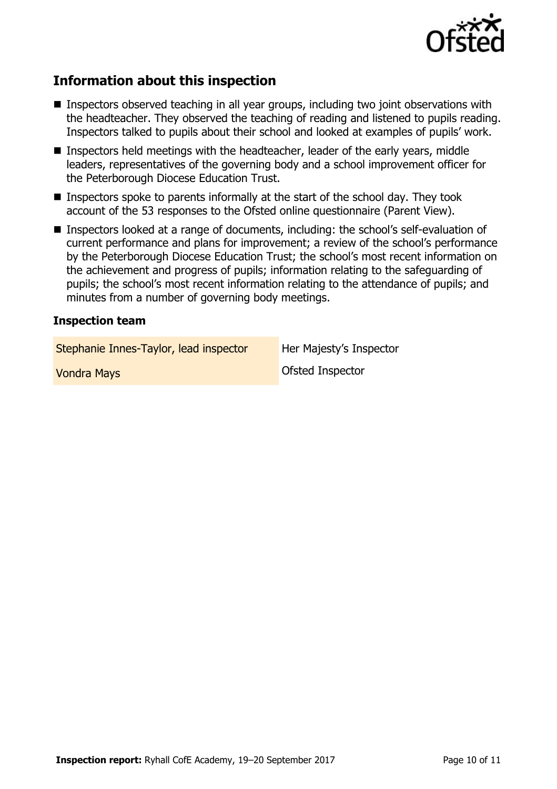

## **Information about this inspection**

- Inspectors observed teaching in all year groups, including two joint observations with the headteacher. They observed the teaching of reading and listened to pupils reading. Inspectors talked to pupils about their school and looked at examples of pupils' work.
- Inspectors held meetings with the headteacher, leader of the early years, middle leaders, representatives of the governing body and a school improvement officer for the Peterborough Diocese Education Trust.
- Inspectors spoke to parents informally at the start of the school day. They took account of the 53 responses to the Ofsted online questionnaire (Parent View).
- Inspectors looked at a range of documents, including: the school's self-evaluation of current performance and plans for improvement; a review of the school's performance by the Peterborough Diocese Education Trust; the school's most recent information on the achievement and progress of pupils; information relating to the safeguarding of pupils; the school's most recent information relating to the attendance of pupils; and minutes from a number of governing body meetings.

#### **Inspection team**

Stephanie Innes-Taylor, lead inspector Her Majesty's Inspector

**Vondra Mays Vondra Mays Condra Mays Ofsted Inspector**